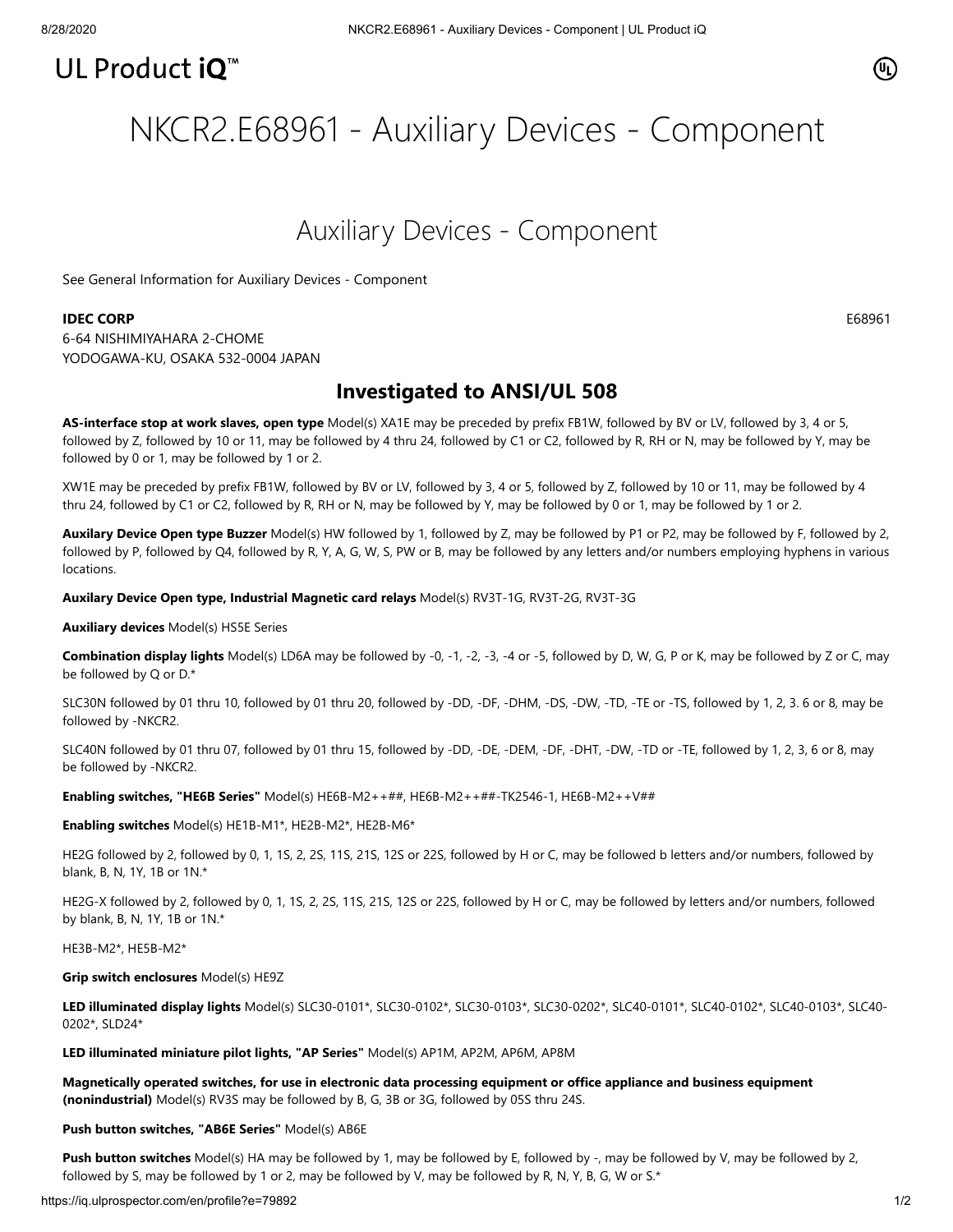## UL Product iQ<sup>™</sup>

### $\textcircled{\tiny{n}}$

# NKCR2.E68961 - Auxiliary Devices - Component

### Auxiliary Devices - Component

[See General Information for Auxiliary Devices - Component](https://iq.ulprospector.com/cgi-bin/XYV/template/LISEXT/1FRAME/showpage.html?&name=NKCR2.GuideInfo&ccnshorttitle=Auxiliary+Devices+-+Component&objid=1073760388&cfgid=1073741824&version=versionless&parent_id=1073760387&sequence=1)

#### **IDEC CORP** E68961

6-64 NISHIMIYAHARA 2-CHOME YODOGAWA-KU, OSAKA 532-0004 JAPAN

### **Investigated to ANSI/UL 508**

**AS-interface stop at work slaves, open type** Model(s) XA1E may be preceded by prefix FB1W, followed by BV or LV, followed by 3, 4 or 5, followed by Z, followed by 10 or 11, may be followed by 4 thru 24, followed by C1 or C2, followed by R, RH or N, may be followed by Y, may be followed by 0 or 1, may be followed by 1 or 2.

XW1E may be preceded by prefix FB1W, followed by BV or LV, followed by 3, 4 or 5, followed by Z, followed by 10 or 11, may be followed by 4 thru 24, followed by C1 or C2, followed by R, RH or N, may be followed by Y, may be followed by 0 or 1, may be followed by 1 or 2.

**Auxilary Device Open type Buzzer** Model(s) HW followed by 1, followed by Z, may be followed by P1 or P2, may be followed by F, followed by 2, followed by P, followed by Q4, followed by R, Y, A, G, W, S, PW or B, may be followed by any letters and/or numbers employing hyphens in various locations.

**Auxilary Device Open type, Industrial Magnetic card relays** Model(s) RV3T-1G, RV3T-2G, RV3T-3G

**Auxiliary devices** Model(s) HS5E Series

**Combination display lights** Model(s) LD6A may be followed by -0, -1, -2, -3, -4 or -5, followed by D, W, G, P or K, may be followed by Z or C, may be followed by Q or D.\*

SLC30N followed by 01 thru 10, followed by 01 thru 20, followed by -DD, -DF, -DHM, -DS, -DW, -TD, -TE or -TS, followed by 1, 2, 3. 6 or 8, may be followed by -NKCR2.

SLC40N followed by 01 thru 07, followed by 01 thru 15, followed by -DD, -DE, -DEM, -DF, -DHT, -DW, -TD or -TE, followed by 1, 2, 3, 6 or 8, may be followed by -NKCR2.

**Enabling switches, "HE6B Series"** Model(s) HE6B-M2++##, HE6B-M2++##-TK2546-1, HE6B-M2++V##

**Enabling switches** Model(s) HE1B-M1\*, HE2B-M2\*, HE2B-M6\*

HE2G followed by 2, followed by 0, 1, 1S, 2, 2S, 11S, 21S, 12S or 22S, followed by H or C, may be followed b letters and/or numbers, followed by blank, B, N, 1Y, 1B or 1N.\*

HE2G-X followed by 2, followed by 0, 1, 1S, 2, 2S, 11S, 21S, 12S or 22S, followed by H or C, may be followed by letters and/or numbers, followed by blank, B, N, 1Y, 1B or 1N.\*

HE3B-M2\*, HE5B-M2\*

**Grip switch enclosures** Model(s) HE9Z

**LED illuminated display lights** Model(s) SLC30-0101\*, SLC30-0102\*, SLC30-0103\*, SLC30-0202\*, SLC40-0101\*, SLC40-0102\*, SLC40-0103\*, SLC40- 0202\*, SLD24\*

**LED illuminated miniature pilot lights, "AP Series"** Model(s) AP1M, AP2M, AP6M, AP8M

**Magnetically operated switches, for use in electronic data processing equipment or office appliance and business equipment (nonindustrial)** Model(s) RV3S may be followed by B, G, 3B or 3G, followed by 05S thru 24S.

#### **Push button switches, "AB6E Series"** Model(s) AB6E

**Push button switches** Model(s) HA may be followed by 1, may be followed by E, followed by -, may be followed by V, may be followed by 2, followed by S, may be followed by 1 or 2, may be followed by V, may be followed by R, N, Y, B, G, W or S.\*